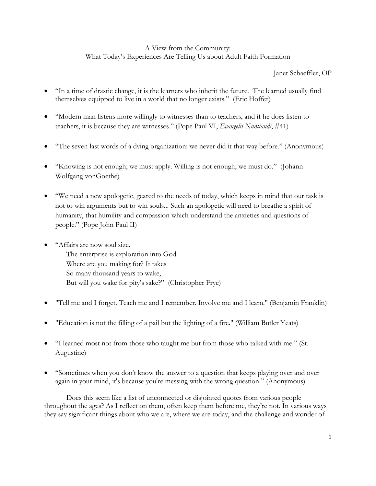# A View from the Community: What Today's Experiences Are Telling Us about Adult Faith Formation

# Janet Schaeffler, OP

- "In a time of drastic change, it is the learners who inherit the future. The learned usually find themselves equipped to live in a world that no longer exists." (Eric Hoffer)
- "Modern man listens more willingly to witnesses than to teachers, and if he does listen to teachers, it is because they are witnesses." (Pope Paul VI, *Evangelii Nuntiandi*, #41)
- "The seven last words of a dying organization: we never did it that way before." (Anonymous)
- "Knowing is not enough; we must apply. Willing is not enough; we must do." (Johann Wolfgang vonGoethe)
- "We need a new apologetic, geared to the needs of today, which keeps in mind that our task is not to win arguments but to win souls... Such an apologetic will need to breathe a spirit of humanity, that humility and compassion which understand the anxieties and questions of people." (Pope John Paul II)
- "Affairs are now soul size. The enterprise is exploration into God. Where are you making for? It takes So many thousand years to wake, But will you wake for pity's sake?" (Christopher Frye)
- "Tell me and I forget. Teach me and I remember. Involve me and I learn." (Benjamin Franklin)
- "Education is not the filling of a pail but the lighting of a fire." (William Butler Yeats)
- "I learned most not from those who taught me but from those who talked with me." (St. Augustine)
- "Sometimes when you don't know the answer to a question that keeps playing over and over again in your mind, it's because you're messing with the wrong question." (Anonymous)

Does this seem like a list of unconnected or disjointed quotes from various people throughout the ages? As I reflect on them, often keep them before me, they're not. In various ways they say significant things about who we are, where we are today, and the challenge and wonder of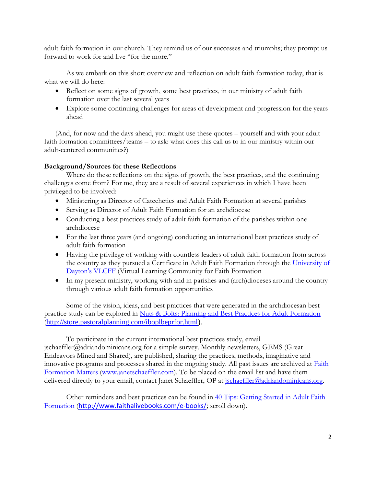adult faith formation in our church. They remind us of our successes and triumphs; they prompt us forward to work for and live "for the more."

As we embark on this short overview and reflection on adult faith formation today, that is what we will do here:

- Reflect on some signs of growth, some best practices, in our ministry of adult faith formation over the last several years
- Explore some continuing challenges for areas of development and progression for the years ahead

(And, for now and the days ahead, you might use these quotes – yourself and with your adult faith formation committees/teams – to ask: what does this call us to in our ministry within our adult-centered communities?)

## **Background/Sources for these Reflections**

Where do these reflections on the signs of growth, the best practices, and the continuing challenges come from? For me, they are a result of several experiences in which I have been privileged to be involved:

- Ministering as Director of Catechetics and Adult Faith Formation at several parishes
- Serving as Director of Adult Faith Formation for an archdiocese
- Conducting a best practices study of adult faith formation of the parishes within one archdiocese
- For the last three years (and ongoing) conducting an international best practices study of adult faith formation
- Having the privilege of working with countless leaders of adult faith formation from across the country as they pursued a Certificate in Adult Faith Formation through the University of [Dayton's VLCFF](https://vlc.udayton.edu/) (Virtual Learning Community for Faith Formation
- In my present ministry, working with and in parishes and (arch)dioceses around the country through various adult faith formation opportunities

Some of the vision, ideas, and best practices that were generated in the archdiocesan best practice study can be explored in [Nuts & Bolts: Planning and Best Practices for Adult Formation](http://store.pastoralplanning.com/iboplbeprfor.html) ([http://store.pastoralplanning.com/iboplbeprfor.html\)](http://store.pastoralplanning.com/iboplbeprfor.html).

To participate in the current international best practices study, email jschaeffler@adriandominicans.org for a simple survey. Monthly newsletters, GEMS (Great Endeavors Mined and Shared), are published, sharing the practices, methods, imaginative and innovative programs and processes shared in the ongoing study. All past issues are archived at **Faith** [Formation Matters](http://www.janetschaeffler.com/) [\(www.janetschaeffler.com\)](http://www.janetschaeffler.com/). To be placed on the email list and have them delivered directly to your email, contact Janet Schaeffler, OP at [jschaeffler@adriandominicans.org.](mailto:jschaeffler@adriandominicans.org)

Other reminders and best practices can be found in [40 Tips: Getting Started in Adult Faith](http://ecatechist.typepad.com/ecatechist/ebooks-from-faithalivebookscom/)  [Formation](http://ecatechist.typepad.com/ecatechist/ebooks-from-faithalivebookscom/) ([http://www.faithalivebooks.com/e-books/;](http://www.faithalivebooks.com/e-books/) scroll down).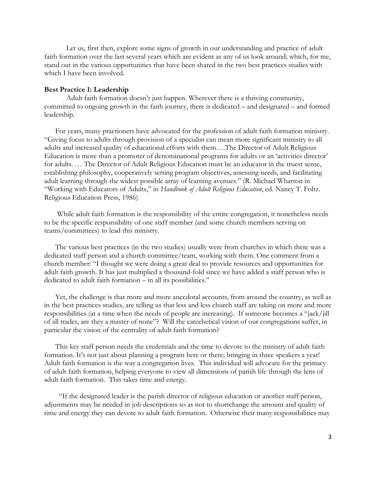Let us, first then, explore some signs of growth in our understanding and practice of adult faith formation over the last several years which are evident as any of us look around; which, for me, stand out in the various opportunities that have been shared in the two best practices studies with which I have been involved.

#### **Best Practice 1: Leadership**

Adult faith formation doesn't just happen. Wherever there is a thriving community, committed to ongoing growth in the faith journey, there is dedicated – and designated – and formed leadership.

For years, many practioners have advocated for the profession of adult faith formation ministry. "Giving focus to adults through provision of a specialist can mean more significant ministry to all adults and increased quality of educational efforts with them….The Director of Adult Religious Education is more than a promoter of denominational programs for adults or an 'activities director' for adults. … The Director of Adult Religious Education must be an educator in the truest sense, establishing philosophy, cooperatively setting program objectives, assessing needs, and facilitating adult learning through the widest possible array of learning avenues." (R. Michael Wharton in "Working with Educators of Adults," in *Handbook of Adult Religious Education*, ed. Nancy T. Foltz. Religious Education Press, 1986)

While adult faith formation is the responsibility of the entire congregation, it nonetheless needs to be the specific responsibility of one staff member (and some church members serving on teams/committees) to lead this ministry.

The various best practices (in the two studies) usually were from churches in which there was a dedicated staff person and a church committee/team, working with them. One comment from a church member: "I thought we were doing a great deal to provide resources and opportunities for adult faith growth. It has just multiplied a thousand-fold since we have added a staff person who is dedicated to adult faith formation – in all its possibilities."

Yet, the challenge is that more and more anecdotal accounts, from around the country, as well as in the best practices studies, are telling us that less and less church staff are taking on more and more responsibilities (at a time when the needs of people are increasing). If someone becomes a "jack/jill of all trades, are they a master of none"? Will the catechetical vision of our congregations suffer, in particular the vision of the centrality of adult faith formation?

This key staff person needs the credentials and the time to devote to the ministry of adult faith formation. It's not just about planning a program here or there; bringing in three speakers a year! Adult faith formation is the way a congregation lives. This individual will advocate for the primacy of adult faith formation, helping everyone to view all dimensions of parish life through the lens of adult faith formation. This takes time and energy.

 "If the designated leader is the parish director of religious education or another staff person, adjustments may be needed in job descriptions so as not to shortchange the amount and quality of time and energy they can devote to adult faith formation. Otherwise their many responsibilities may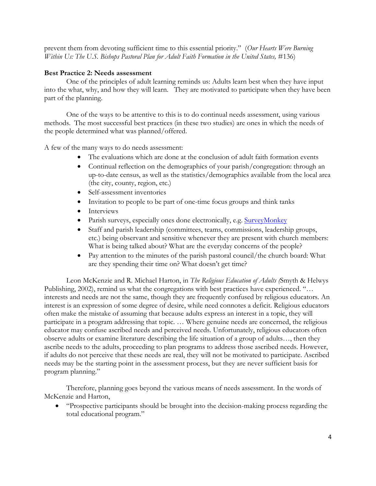prevent them from devoting sufficient time to this essential priority." (*Our Hearts Were Burning Within Us: The U.S. Bishops Pastoral Plan for Adult Faith Formation in the United States,* #136)

### **Best Practice 2: Needs assessment**

One of the principles of adult learning reminds us: Adults learn best when they have input into the what, why, and how they will learn. They are motivated to participate when they have been part of the planning.

One of the ways to be attentive to this is to do continual needs assessment, using various methods. The most successful best practices (in these two studies) are ones in which the needs of the people determined what was planned/offered.

A few of the many ways to do needs assessment:

- The evaluations which are done at the conclusion of adult faith formation events
- Continual reflection on the demographics of your parish/congregation: through an up-to-date census, as well as the statistics/demographics available from the local area (the city, county, region, etc.)
- Self-assessment inventories
- Invitation to people to be part of one-time focus groups and think tanks
- Interviews
- Parish surveys, especially ones done electronically, e.g. [SurveyMonkey](http://www.surveymonkey.com/)
- Staff and parish leadership (committees, teams, commissions, leadership groups, etc.) being observant and sensitive whenever they are present with church members: What is being talked about? What are the everyday concerns of the people?
- Pay attention to the minutes of the parish pastoral council/the church board: What are they spending their time on? What doesn't get time?

Leon McKenzie and R. Michael Harton, in *The Religious Education of Adults (*Smyth & Helwys Publishing, 2002), remind us what the congregations with best practices have experienced. "… interests and needs are not the same, though they are frequently confused by religious educators. An interest is an expression of some degree of desire, while need connotes a deficit. Religious educators often make the mistake of assuming that because adults express an interest in a topic, they will participate in a program addressing that topic. … Where genuine needs are concerned, the religious educator may confuse ascribed needs and perceived needs. Unfortunately, religious educators often observe adults or examine literature describing the life situation of a group of adults…, then they ascribe needs to the adults, proceeding to plan programs to address those ascribed needs. However, if adults do not perceive that these needs are real, they will not be motivated to participate. Ascribed needs may be the starting point in the assessment process, but they are never sufficient basis for program planning."

Therefore, planning goes beyond the various means of needs assessment. In the words of McKenzie and Harton,

 "Prospective participants should be brought into the decision-making process regarding the total educational program."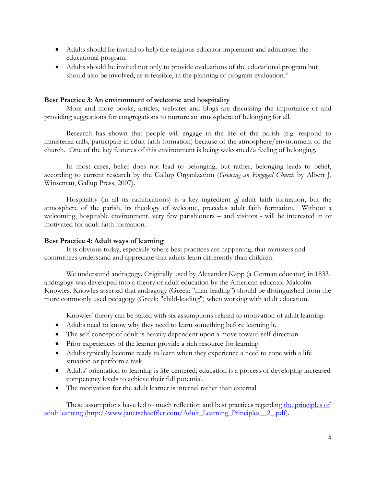- Adults should be invited to help the religious educator implement and administer the educational program.
- Adults should be invited not only to provide evaluations of the educational program but should also be involved, as is feasible, in the planning of program evaluation."

### **Best Practice 3: An environment of welcome and hospitality**

More and more books, articles, websites and blogs are discussing the importance of and providing suggestions for congregations to nurture an atmosphere of belonging for all.

Research has shown that people will engage in the life of the parish (e.g. respond to ministerial calls, participate in adult faith formation) because of the atmosphere/environment of the church. One of the key features of this environment is being welcomed/a feeling of belonging.

In most cases, belief does not lead to belonging, but rather, belonging leads to belief, according to current research by the Gallup Organization (*Growing an Engaged Church* by Albert J. Winseman, Gallup Press, 2007).

Hospitality (in all its ramifications) is a key ingredient *of* adult faith formation, but the atmosphere of the parish, its theology of welcome, precedes adult faith formation. Without a welcoming, hospitable environment, very few parishioners – and visitors - will be interested in or motivated for adult faith formation.

### **Best Practice 4: Adult ways of learning**

It is obvious today, especially where best practices are happening, that ministers and committees understand and appreciate that adults learn differently than children.

We understand andragogy. Originally used by [Alexander Kapp](http://en.wikipedia.org/wiki/Alexander_Kapp) (a German educator) in 1833, andragogy was developed into a theory of [adult education](http://en.wikipedia.org/wiki/Adult_education) by the [American](http://en.wikipedia.org/wiki/United_States) educator [Malcolm](http://en.wikipedia.org/wiki/Malcolm_Knowles)  [Knowles.](http://en.wikipedia.org/wiki/Malcolm_Knowles) Knowles asserted that andragogy (Greek: "man-leading") should be distinguished from the more commonly used [pedagogy](http://en.wikipedia.org/wiki/Pedagogy) (Greek: "child-leading") when working with adult education.

Knowles' theory can be stated with six assumptions related to [motivation](http://en.wikipedia.org/wiki/Motivation) of adult learning:

- Adults need to know why they need to learn something before learning it.
- The self-concept of adult is heavily dependent upon a move toward self-direction.
- Prior experiences of the learner provide a rich resource for learning.
- Adults typically become ready to learn when they experience a need to cope with a life situation or perform a task.
- Adults' orientation to learning is life-centered; education is a process of developing increased competency levels to achieve their full potential.
- The motivation for the adult learner is internal rather than external.

These assumptions have led to much reflection and best practices regarding the principles of [adult learning](http://www.janetschaeffler.com/Adult_Learning_Principles__2_.pdf) [\(http://www.janetschaeffler.com/Adult\\_Learning\\_Principles\\_\\_2\\_.pdf\)](http://www.janetschaeffler.com/Adult_Learning_Principles__2_.pdf).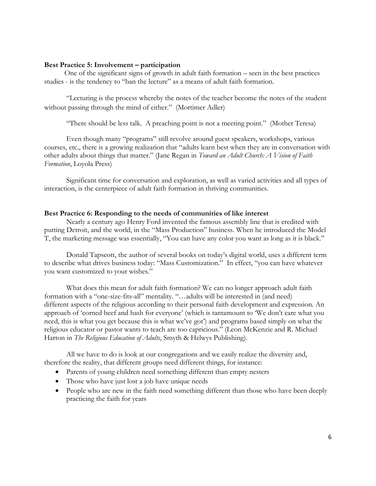#### **Best Practice 5: Involvement – participation**

 One of the significant signs of growth in adult faith formation – seen in the best practices studies - is the tendency to "ban the lecture" as a means of adult faith formation.

"Lecturing is the process whereby the notes of the teacher become the notes of the student without passing through the mind of either." (Mortimer Adler)

"There should be less talk. A preaching point is not a meeting point." (Mother Teresa)

Even though many "programs" still revolve around guest speakers, workshops, various courses, etc., there is a growing realization that "adults learn best when they are in conversation with other adults about things that matter." (Jane Regan in *Toward an Adult Church: A Vision of Faith Formation*, Loyola Press)

Significant time for conversation and exploration, as well as varied activities and all types of interaction, is the centerpiece of adult faith formation in thriving communities.

#### **Best Practice 6: Responding to the needs of communities of like interest**

Nearly a century ago Henry Ford invented the famous assembly line that is credited with putting Detroit, and the world, in the "Mass Production" business. When he introduced the Model T, the marketing message was essentially, "You can have any color you want as long as it is black."

Donald Tapscott, the author of several books on today's digital world, uses a different term to describe what drives business today: "Mass Customization." In effect, "you can have whatever you want customized to your wishes."

What does this mean for adult faith formation? We can no longer approach adult faith formation with a "one-size-fits-all" mentality. "…adults will be interested in (and need) different aspects of the religious according to their personal faith development and expression. An approach of 'corned beef and hash for everyone' (which is tantamount to 'We don't care what you need, this is what you get because this is what we've got') and programs based simply on what the religious educator or pastor wants to teach are too capricious." (Leon McKenzie and R. Michael Harton in *The Religious Education of Adults*, Smyth & Helwys Publishing).

All we have to do is look at our congregations and we easily realize the diversity and, therefore the reality, that different groups need different things, for instance:

- Parents of young children need something different than empty nesters
- Those who have just lost a job have unique needs
- People who are new in the faith need something different than those who have been deeply practicing the faith for years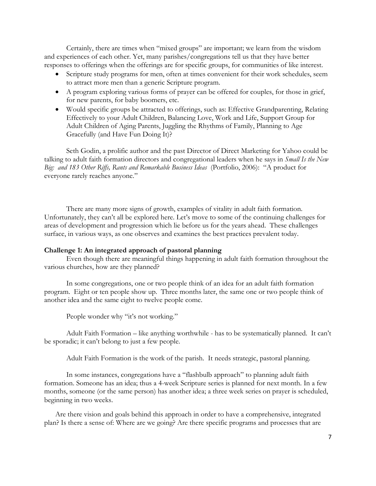Certainly, there are times when "mixed groups" are important; we learn from the wisdom and experiences of each other. Yet, many parishes/congregations tell us that they have better responses to offerings when the offerings are for specific groups, for communities of like interest.

- Scripture study programs for men, often at times convenient for their work schedules, seem to attract more men than a generic Scripture program.
- A program exploring various forms of prayer can be offered for couples, for those in grief, for new parents, for baby boomers, etc.
- Would specific groups be attracted to offerings, such as: Effective Grandparenting, Relating Effectively to your Adult Children, Balancing Love, Work and Life, Support Group for Adult Children of Aging Parents, Juggling the Rhythms of Family, Planning to Age Gracefully (and Have Fun Doing It)?

Seth Godin, a prolific author and the past Director of Direct Marketing for Yahoo could be talking to adult faith formation directors and congregational leaders when he says in *Small Is the New Big: and 183 Other Riffs, Rants and Remarkable Business Ideas* (Portfolio, 2006): "A product for everyone rarely reaches anyone."

There are many more signs of growth, examples of vitality in adult faith formation. Unfortunately, they can't all be explored here. Let's move to some of the continuing challenges for areas of development and progression which lie before us for the years ahead. These challenges surface, in various ways, as one observes and examines the best practices prevalent today.

### **Challenge 1: An integrated approach of pastoral planning**

Even though there are meaningful things happening in adult faith formation throughout the various churches, how are they planned?

In some congregations, one or two people think of an idea for an adult faith formation program. Eight or ten people show up. Three months later, the same one or two people think of another idea and the same eight to twelve people come.

People wonder why "it's not working."

Adult Faith Formation – like anything worthwhile - has to be systematically planned. It can't be sporadic; it can't belong to just a few people.

Adult Faith Formation is the work of the parish. It needs strategic, pastoral planning.

In some instances, congregations have a "flashbulb approach" to planning adult faith formation. Someone has an idea; thus a 4-week Scripture series is planned for next month. In a few months, someone (or the same person) has another idea; a three week series on prayer is scheduled, beginning in two weeks.

Are there vision and goals behind this approach in order to have a comprehensive, integrated plan? Is there a sense of: Where are we going? Are there specific programs and processes that are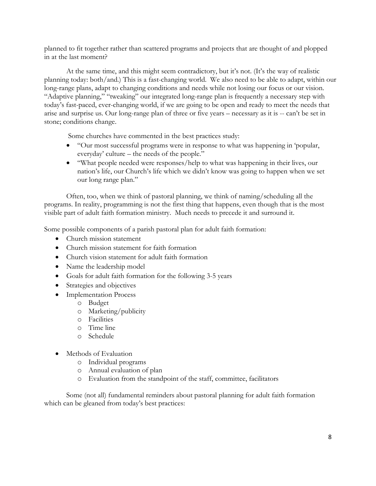planned to fit together rather than scattered programs and projects that are thought of and plopped in at the last moment?

 At the same time, and this might seem contradictory, but it's not. (It's the way of realistic planning today: both/and.) This is a fast-changing world. We also need to be able to adapt, within our long-range plans, adapt to changing conditions and needs while not losing our focus or our vision. "Adaptive planning," "tweaking" our integrated long-range plan is frequently a necessary step with today's fast-paced, ever-changing world, if we are going to be open and ready to meet the needs that arise and surprise us. Our long-range plan of three or five years – necessary as it is -- can't be set in stone; conditions change.

Some churches have commented in the best practices study:

- "Our most successful programs were in response to what was happening in 'popular, everyday' culture – the needs of the people."
- "What people needed were responses/help to what was happening in their lives, our nation's life, our Church's life which we didn't know was going to happen when we set our long range plan."

Often, too, when we think of pastoral planning, we think of naming/scheduling all the programs. In reality, programming is not the first thing that happens, even though that is the most visible part of adult faith formation ministry. Much needs to precede it and surround it.

Some possible components of a parish pastoral plan for adult faith formation:

- Church mission statement
- Church mission statement for faith formation
- Church vision statement for adult faith formation
- Name the leadership model
- Goals for adult faith formation for the following 3-5 years
- Strategies and objectives
- Implementation Process
	- o Budget
	- o Marketing/publicity
	- o Facilities
	- o Time line
	- o Schedule
- Methods of Evaluation
	- o Individual programs
	- o Annual evaluation of plan
	- o Evaluation from the standpoint of the staff, committee, facilitators

Some (not all) fundamental reminders about pastoral planning for adult faith formation which can be gleaned from today's best practices: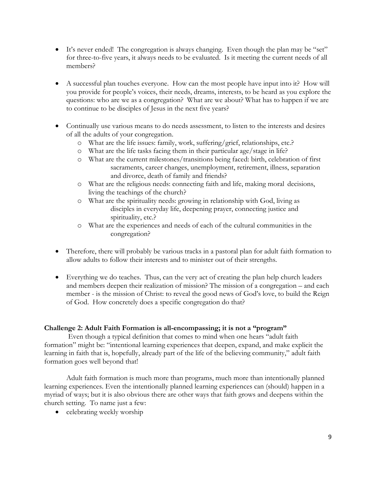- It's never ended! The congregation is always changing. Even though the plan may be "set" for three-to-five years, it always needs to be evaluated. Is it meeting the current needs of all members?
- A successful plan touches everyone. How can the most people have input into it? How will you provide for people's voices, their needs, dreams, interests, to be heard as you explore the questions: who are we as a congregation? What are we about? What has to happen if we are to continue to be disciples of Jesus in the next five years?
- Continually use various means to do needs assessment, to listen to the interests and desires of all the adults of your congregation.
	- o What are the life issues: family, work, suffering/grief, relationships, etc.?
	- o What are the life tasks facing them in their particular age/stage in life?
	- o What are the current milestones/transitions being faced: birth, celebration of first sacraments, career changes, unemployment, retirement, illness, separation and divorce, death of family and friends?
	- o What are the religious needs: connecting faith and life, making moral decisions, living the teachings of the church?
	- o What are the spirituality needs: growing in relationship with God, living as disciples in everyday life, deepening prayer, connecting justice and spirituality, etc.?
	- o What are the experiences and needs of each of the cultural communities in the congregation?
- Therefore, there will probably be various tracks in a pastoral plan for adult faith formation to allow adults to follow their interests and to minister out of their strengths.
- Everything we do teaches. Thus, can the very act of creating the plan help church leaders and members deepen their realization of mission? The mission of a congregation – and each member - is the mission of Christ: to reveal the good news of God's love, to build the Reign of God. How concretely does a specific congregation do that?

## **Challenge 2: Adult Faith Formation is all-encompassing; it is not a "program"**

 Even though a typical definition that comes to mind when one hears "adult faith formation" might be: "intentional learning experiences that deepen, expand, and make explicit the learning in faith that is, hopefully, already part of the life of the believing community," adult faith formation goes well beyond that!

Adult faith formation is much more than programs, much more than intentionally planned learning experiences. Even the intentionally planned learning experiences can (should) happen in a myriad of ways; but it is also obvious there are other ways that faith grows and deepens within the church setting. To name just a few:

• celebrating weekly worship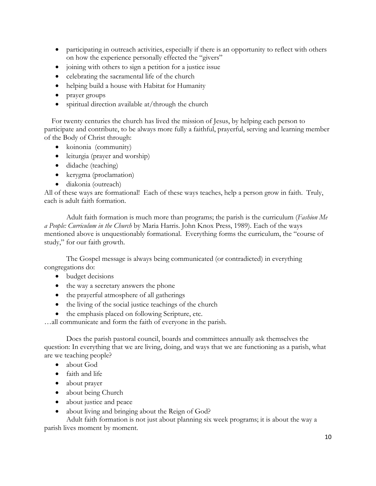- participating in outreach activities, especially if there is an opportunity to reflect with others on how the experience personally effected the "givers"
- joining with others to sign a petition for a justice issue
- celebrating the sacramental life of the church
- helping build a house with Habitat for Humanity
- prayer groups
- spiritual direction available at/through the church

 For twenty centuries the church has lived the mission of Jesus, by helping each person to participate and contribute, to be always more fully a faithful, prayerful, serving and learning member of the Body of Christ through:

- koinonia (community)
- leiturgia (prayer and worship)
- didache (teaching)
- kerygma (proclamation)
- diakonia (outreach)

All of these ways are formational! Each of these ways teaches, help a person grow in faith. Truly, each is adult faith formation.

Adult faith formation is much more than programs; the parish is the curriculum (*Fashion Me a People: Curriculum in the Church* by Maria Harris. John Knox Press, 1989). Each of the ways mentioned above is unquestionably formational. Everything forms the curriculum, the "course of study," for our faith growth.

 The Gospel message is always being communicated (or contradicted) in everything congregations do:

- budget decisions
- the way a secretary answers the phone
- the prayerful atmosphere of all gatherings
- $\bullet$  the living of the social justice teachings of the church
- the emphasis placed on following Scripture, etc.

…all communicate and form the faith of everyone in the parish.

 Does the parish pastoral council, boards and committees annually ask themselves the question: In everything that we are living, doing, and ways that we are functioning as a parish, what are we teaching people?

- about God
- faith and life
- about prayer
- about being Church
- about justice and peace
- about living and bringing about the Reign of God?

Adult faith formation is not just about planning six week programs; it is about the way a parish lives moment by moment.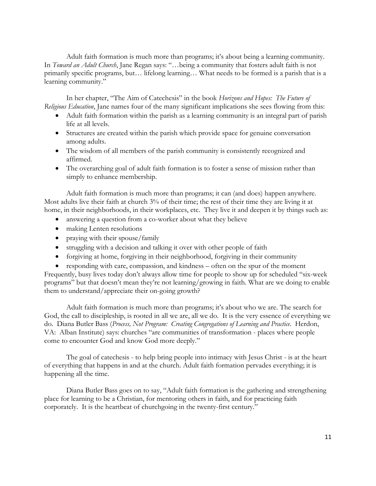Adult faith formation is much more than programs; it's about being a learning community. In *Toward an Adult Church*, Jane Regan says: "…being a community that fosters adult faith is not primarily specific programs, but… lifelong learning… What needs to be formed is a parish that is a learning community."

 In her chapter, "The Aim of Catechesis" in the book *Horizons and Hopes: The Future of Religious Education*, Jane names four of the many significant implications she sees flowing from this:

- Adult faith formation within the parish as a learning community is an integral part of parish life at all levels.
- Structures are created within the parish which provide space for genuine conversation among adults.
- The wisdom of all members of the parish community is consistently recognized and affirmed.
- The overarching goal of adult faith formation is to foster a sense of mission rather than simply to enhance membership.

Adult faith formation is much more than programs; it can (and does) happen anywhere. Most adults live their faith at church 3% of their time; the rest of their time they are living it at home, in their neighborhoods, in their workplaces, etc. They live it and deepen it by things such as:

- answering a question from a co-worker about what they believe
- making Lenten resolutions
- praying with their spouse/family
- struggling with a decision and talking it over with other people of faith
- forgiving at home, forgiving in their neighborhood, forgiving in their community
- responding with care, compassion, and kindness often on the spur of the moment Frequently, busy lives today don't always allow time for people to show up for scheduled "six-week programs" but that doesn't mean they're not learning/growing in faith. What are we doing to enable them to understand/appreciate their on-going growth?

Adult faith formation is much more than programs; it's about who we are. The search for God, the call to discipleship, is rooted in all we are, all we do. It is the very essence of everything we do. Diana Butler Bass (*Process, Not Program: Creating Congregations of Learning and Practice*. Herdon, VA: Alban Institute) says: churches "are communities of transformation - places where people come to encounter God and know God more deeply."

The goal of catechesis - to help bring people into intimacy with Jesus Christ - is at the heart of everything that happens in and at the church. Adult faith formation pervades everything; it is happening all the time.

Diana Butler Bass goes on to say, "Adult faith formation is the gathering and strengthening place for learning to be a Christian, for mentoring others in faith, and for practicing faith corporately. It is the heartbeat of churchgoing in the twenty-first century."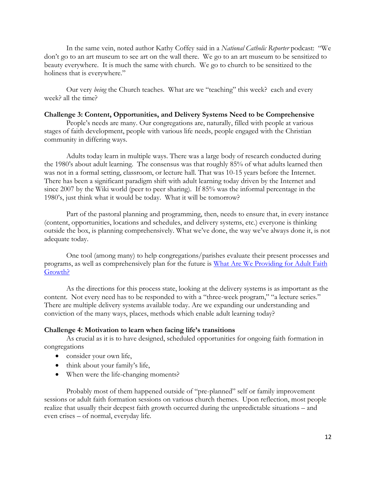In the same vein, noted author Kathy Coffey said in a *National Catholic Reporter* podcast: "We don't go to an art museum to see art on the wall there. We go to an art museum to be sensitized to beauty everywhere. It is much the same with church. We go to church to be sensitized to the holiness that is everywhere."

Our very *being* the Church teaches. What are we "teaching" this week? each and every week? all the time?

### **Challenge 3: Content, Opportunities, and Delivery Systems Need to be Comprehensive**

People's needs are many. Our congregations are, naturally, filled with people at various stages of faith development, people with various life needs, people engaged with the Christian community in differing ways.

Adults today learn in multiple ways. There was a large body of research conducted during the 1980's about adult learning. The consensus was that roughly 85% of what adults learned then was not in a formal setting, classroom, or lecture hall. That was 10-15 years before the Internet. There has been a significant paradigm shift with adult learning today driven by the Internet and since 2007 by the Wiki world (peer to peer sharing). If 85% was the informal percentage in the 1980's, just think what it would be today. What it will be tomorrow?

Part of the pastoral planning and programming, then, needs to ensure that, in every instance (content, opportunities, locations and schedules, and delivery systems, etc.) everyone is thinking outside the box, is planning comprehensively. What we've done, the way we've always done it, is not adequate today.

One tool (among many) to help congregations/parishes evaluate their present processes and programs, as well as comprehensively plan for the future is [What Are We Providing for Adult Faith](http://www.janetschaeffler.com/AFF-Helps.html)  [Growth?](http://www.janetschaeffler.com/AFF-Helps.html)

As the directions for this process state, looking at the delivery systems is as important as the content. Not every need has to be responded to with a "three-week program," "a lecture series." There are multiple delivery systems available today. Are we expanding our understanding and conviction of the many ways, places, methods which enable adult learning today?

#### **Challenge 4: Motivation to learn when facing life's transitions**

As crucial as it is to have designed, scheduled opportunities for ongoing faith formation in congregations

- consider your own life,
- think about your family's life,
- When were the life-changing moments?

 Probably most of them happened outside of "pre-planned" self or family improvement sessions or adult faith formation sessions on various church themes. Upon reflection, most people realize that usually their deepest faith growth occurred during the unpredictable situations – and even crises – of normal, everyday life.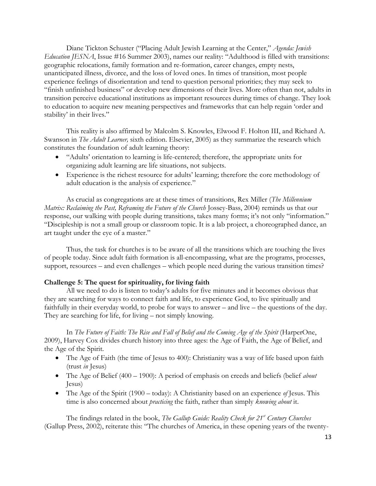Diane Tickton Schuster ("Placing Adult Jewish Learning at the Center," *Agenda: Jewish Education JESNA*, Issue #16 Summer 2003), names our reality: "Adulthood is filled with transitions: geographic relocations, family formation and re-formation, career changes, empty nests, unanticipated illness, divorce, and the loss of loved ones. In times of transition, most people experience feelings of disorientation and tend to question personal priorities; they may seek to "finish unfinished business" or develop new dimensions of their lives. More often than not, adults in transition perceive educational institutions as important resources during times of change. They look to education to acquire new meaning perspectives and frameworks that can help regain 'order and stability' in their lives."

This reality is also affirmed by Malcolm S. Knowles, Elwood F. Holton III, and Richard A. Swanson in *The Adult Learner,* sixth edition. Elsevier, 2005) as they summarize the research which constitutes the foundation of adult learning theory:

- "Adults' orientation to learning is life-centered; therefore, the appropriate units for organizing adult learning are life situations, not subjects.
- Experience is the richest resource for adults' learning; therefore the core methodology of adult education is the analysis of experience."

As crucial as congregations are at these times of transitions, Rex Miller (*The Millennium Matrix: Reclaiming the Past, Reframing the Future of the Church* Jossey-Bass, 2004) reminds us that our response, our walking with people during transitions, takes many forms; it's not only "information." "Discipleship is not a small group or classroom topic. It is a lab project, a choreographed dance, an art taught under the eye of a master."

Thus, the task for churches is to be aware of all the transitions which are touching the lives of people today. Since adult faith formation is all-encompassing, what are the programs, processes, support, resources – and even challenges – which people need during the various transition times?

## **Challenge 5: The quest for spirituality, for living faith**

All we need to do is listen to today's adults for five minutes and it becomes obvious that they are searching for ways to connect faith and life, to experience God, to live spiritually and faithfully in their everyday world, to probe for ways to answer – and live – the questions of the day. They are searching for life, for living – not simply knowing.

In *The Future of Faith: The Rise and Fall of Belief and the Coming Age of the Spirit* (HarperOne, 2009), Harvey Cox divides church history into three ages: the Age of Faith, the Age of Belief, and the Age of the Spirit.

- The Age of Faith (the time of Jesus to 400): Christianity was a way of life based upon faith (trust *in* Jesus)
- The Age of Belief (400 1900): A period of emphasis on creeds and beliefs (belief *about*  Jesus)
- The Age of the Spirit (1900 today): A Christianity based on an experience *of* Jesus. This time is also concerned about *practicing* the faith, rather than simply *knowing about* it.

The findings related in the book, *The Gallup Guide: Reality Check for 21st Century Churches* (Gallup Press, 2002), reiterate this: "The churches of America, in these opening years of the twenty-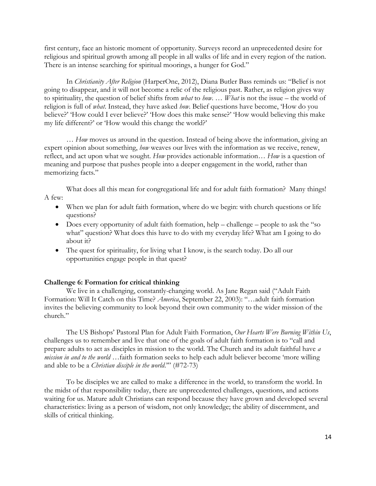first century, face an historic moment of opportunity. Surveys record an unprecedented desire for religious and spiritual growth among all people in all walks of life and in every region of the nation. There is an intense searching for spiritual moorings, a hunger for God."

In *Christianity After Religion* (HarperOne, 2012), Diana Butler Bass reminds us: "Belief is not going to disappear, and it will not become a relic of the religious past. Rather, as religion gives way to spirituality, the question of belief shifts from *what* to *how*. … *What* is not the issue – the world of religion is full of *what*. Instead, they have asked *how*. Belief questions have become, 'How do you believe?' 'How could I ever believe?' 'How does this make sense?' 'How would believing this make my life different?' or 'How would this change the world?'

… *How* moves us around in the question. Instead of being above the information, giving an expert opinion about something, *how* weaves our lives with the information as we receive, renew, reflect, and act upon what we sought. *How* provides actionable information… *How* is a question of meaning and purpose that pushes people into a deeper engagement in the world, rather than memorizing facts."

What does all this mean for congregational life and for adult faith formation? Many things! A few:

- When we plan for adult faith formation, where do we begin: with church questions or life questions?
- Does every opportunity of adult faith formation, help challenge people to ask the "so" what" question? What does this have to do with my everyday life? What am I going to do about it?
- The quest for spirituality, for living what I know, is the search today. Do all our opportunities engage people in that quest?

#### **Challenge 6: Formation for critical thinking**

We live in a challenging, constantly-changing world. As Jane Regan said ("Adult Faith Formation: Will It Catch on this Time? *America*, September 22, 2003): "…adult faith formation invites the believing community to look beyond their own community to the wider mission of the church."

The US Bishops' Pastoral Plan for Adult Faith Formation, *Our Hearts Were Burning Within Us*, challenges us to remember and live that one of the goals of adult faith formation is to "call and prepare adults to act as disciples in mission to the world. The Church and its adult faithful have *a mission in and to the world* …faith formation seeks to help each adult believer become 'more willing and able to be a *Christian disciple in the world*.'" (#72-73)

To be disciples we are called to make a difference in the world, to transform the world. In the midst of that responsibility today, there are unprecedented challenges, questions, and actions waiting for us. Mature adult Christians can respond because they have grown and developed several characteristics: living as a person of wisdom, not only knowledge; the ability of discernment, and skills of critical thinking.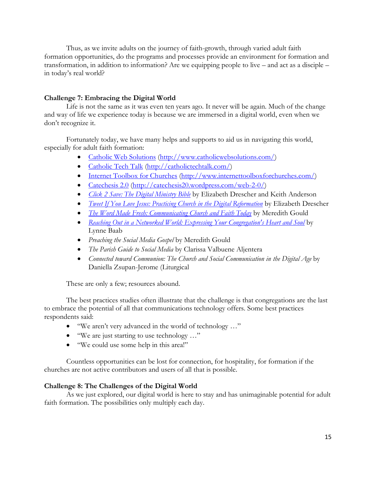Thus, as we invite adults on the journey of faith-growth, through varied adult faith formation opportunities, do the programs and processes provide an environment for formation and transformation, in addition to information? Are we equipping people to live – and act as a disciple – in today's real world?

## **Challenge 7: Embracing the Digital World**

Life is not the same as it was even ten years ago. It never will be again. Much of the change and way of life we experience today is because we are immersed in a digital world, even when we don't recognize it.

Fortunately today, we have many helps and supports to aid us in navigating this world, especially for adult faith formation:

- [Catholic Web Solutions](http://www.catholicwebsolutions.com/) [\(http://www.catholicwebsolutions.com/\)](http://www.catholicwebsolutions.com/)
- [Catholic Tech Talk](http://catholictechtalk.com/) [\(http://catholictechtalk.com/\)](http://catholictechtalk.com/)
- [Internet Toolbox for Churches](http://www.internettoolboxforchurches.com/) [\(http://www.internettoolboxforchurches.com/\)](http://www.internettoolboxforchurches.com/)
- [Catechesis 2.0](http://catechesis20.wordpress.com/web-2-0/) [\(http://catechesis20.wordpress.com/web-2-0/\)](http://catechesis20.wordpress.com/web-2-0/)
- *[Click 2 Save: The Digital Ministry Bible](http://www.amazon.com/Click-Save-Digital-Ministry-Bible/dp/0819227749/ref=sr_1_1?ie=UTF8&qid=1342270401&sr=8-1&keywords=click+2+save)* by Elizabeth Drescher and Keith Anderson
- *[Tweet If You Love Jesus: Practicing Church in the Digital Reformation](http://www.amazon.com/Tweet-You-Heart-Jesus-Reformation/dp/0819224235)* by Elizabeth Drescher
- *[The Word Made Fresh: Communicating Church and Faith Today](http://www.amazon.com/The-Word-Made-Fresh-Communicating/dp/0819222852)* by Meredith Gould
- *[Reaching Out in a Networked World: Expressing Your Congregation's Heart and Soul](http://www.amazon.com/Reaching-Out-Networked-World-Congregations/dp/1566993687/ref=pd_sim_b_2)* by Lynne Baab
- *Preaching the Social Media Gospel* by Meredith Gould
- *The Parish Guide to Social Media* by Clarissa Valbuene Aljentera
- *Connected toward Communion: The Church and Social Communication in the Digital Age* by Daniella Zsupan-Jerome (Liturgical

These are only a few; resources abound.

The best practices studies often illustrate that the challenge is that congregations are the last to embrace the potential of all that communications technology offers. Some best practices respondents said:

- "We aren't very advanced in the world of technology …"
- "We are just starting to use technology …"
- "We could use some help in this area!"

Countless opportunities can be lost for connection, for hospitality, for formation if the churches are not active contributors and users of all that is possible.

## **Challenge 8: The Challenges of the Digital World**

As we just explored, our digital world is here to stay and has unimaginable potential for adult faith formation. The possibilities only multiply each day.